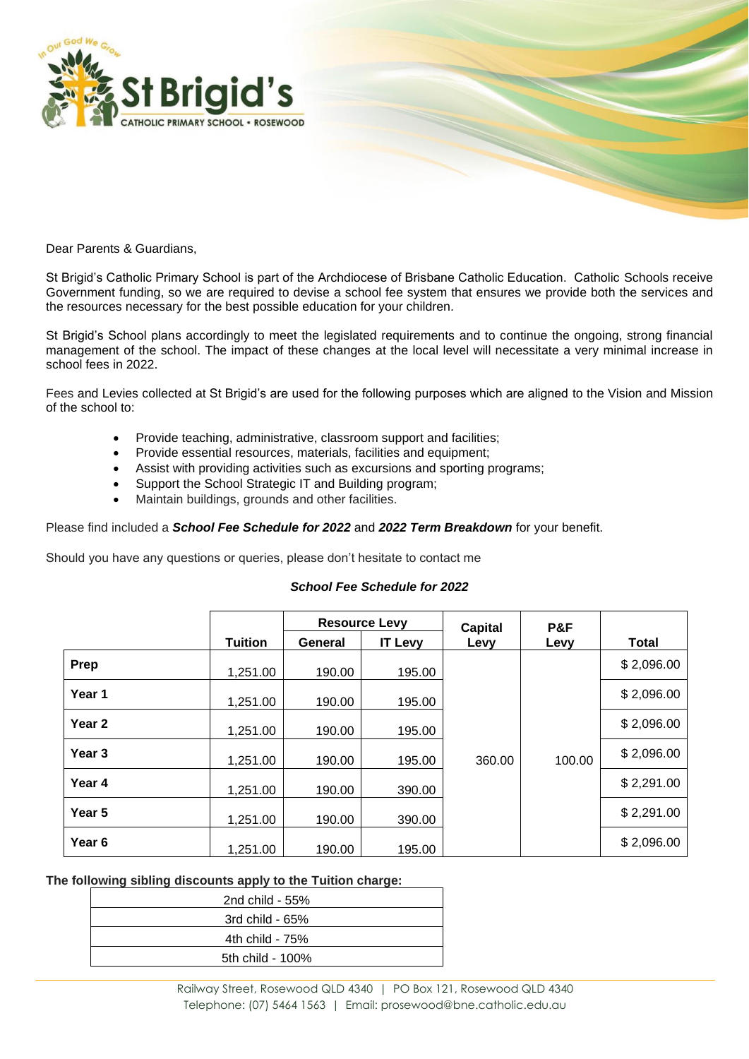

Dear Parents & Guardians,

St Brigid's Catholic Primary School is part of the Archdiocese of Brisbane Catholic Education. Catholic Schools receive Government funding, so we are required to devise a school fee system that ensures we provide both the services and the resources necessary for the best possible education for your children.

St Brigid's School plans accordingly to meet the legislated requirements and to continue the ongoing, strong financial management of the school. The impact of these changes at the local level will necessitate a very minimal increase in school fees in 2022.

Fees and Levies collected at St Brigid's are used for the following purposes which are aligned to the Vision and Mission of the school to:

- Provide teaching, administrative, classroom support and facilities;
- Provide essential resources, materials, facilities and equipment;
- Assist with providing activities such as excursions and sporting programs;
- Support the School Strategic IT and Building program;
- Maintain buildings, grounds and other facilities.

Please find included a *School Fee Schedule for 2022* and *2022 Term Breakdown* for your benefit.

Should you have any questions or queries, please don't hesitate to contact me

|                   |                | <b>Resource Levy</b> |                | <b>Capital</b> | P&F    |              |
|-------------------|----------------|----------------------|----------------|----------------|--------|--------------|
|                   | <b>Tuition</b> | General              | <b>IT Levy</b> | Levy           | Levy   | <b>Total</b> |
| Prep              | 1,251.00       | 190.00               | 195.00         |                |        | \$2,096.00   |
| Year 1            | 1,251.00       | 190.00               | 195.00         |                |        | \$2,096.00   |
| Year <sub>2</sub> | 1,251.00       | 190.00               | 195.00         |                |        | \$2,096.00   |
| Year 3            | 1,251.00       | 190.00               | 195.00         | 360.00         | 100.00 | \$2,096.00   |
| Year 4            | 1,251.00       | 190.00               | 390.00         |                |        | \$2,291.00   |
| Year 5            | 1,251.00       | 190.00               | 390.00         |                |        | \$2,291.00   |
| Year <sub>6</sub> | 1.251.00       | 190.00               | 195.00         |                |        | \$2,096.00   |

## *School Fee Schedule for 2022*

**The following sibling discounts apply to the Tuition charge:**

| 2nd child - 55%  |
|------------------|
| 3rd child - 65%  |
| 4th child - 75%  |
| 5th child - 100% |
|                  |